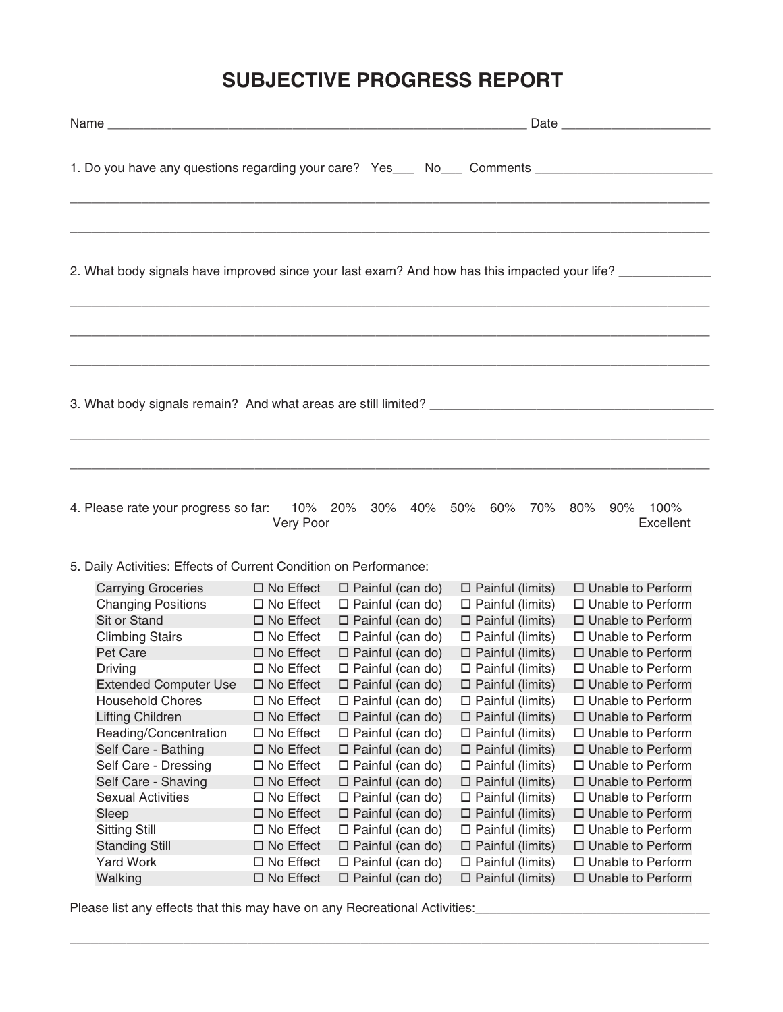## **SUBJECTIVE PROGRESS REPORT**

|                                                                                                            | 1. Do you have any questions regarding your care? Yes____ No___ Comments __________________________<br>,我们也不会有什么?""我们的人,我们也不会有什么?""我们的人,我们也不会有什么?""我们的人,我们也不会有什么?""我们的人,我们也不会有什么?""我们的人 |  |  |  |  |  |  |  |
|------------------------------------------------------------------------------------------------------------|-----------------------------------------------------------------------------------------------------------------------------------------------------------------------------------------|--|--|--|--|--|--|--|
| 2. What body signals have improved since your last exam? And how has this impacted your life? ____________ |                                                                                                                                                                                         |  |  |  |  |  |  |  |
| ,我们也不会有什么?""我们的人,我们也不会有什么?""我们的人,我们也不会有什么?""我们的人,我们也不会有什么?""我们的人,我们也不会有什么?""我们的人                           |                                                                                                                                                                                         |  |  |  |  |  |  |  |
| Very Poor                                                                                                  | 4. Please rate your progress so far: 10% 20% 30% 40% 50% 60% 70% 80% 90% 100%<br>Excellent                                                                                              |  |  |  |  |  |  |  |
| E. Daily Activities: Effects of Current Condition on Performance:                                          |                                                                                                                                                                                         |  |  |  |  |  |  |  |

5. Daily Activities: Effects of Current Condition on Performance:

| <b>Carrying Groceries</b>    | $\Box$ No Effect    | $\Box$ Painful (can do) | $\Box$ Painful (limits) | $\Box$ Unable to Perform |
|------------------------------|---------------------|-------------------------|-------------------------|--------------------------|
| <b>Changing Positions</b>    | $\square$ No Effect | $\Box$ Painful (can do) | $\Box$ Painful (limits) | $\Box$ Unable to Perform |
| Sit or Stand                 | $\square$ No Effect | $\Box$ Painful (can do) | $\Box$ Painful (limits) | $\Box$ Unable to Perform |
| <b>Climbing Stairs</b>       | □ No Effect         | $\Box$ Painful (can do) | $\Box$ Painful (limits) | $\Box$ Unable to Perform |
| Pet Care                     | $\square$ No Effect | $\Box$ Painful (can do) | $\Box$ Painful (limits) | □ Unable to Perform      |
| Driving                      | $\square$ No Effect | $\Box$ Painful (can do) | $\Box$ Painful (limits) | □ Unable to Perform      |
| <b>Extended Computer Use</b> | $\Box$ No Effect    | $\Box$ Painful (can do) | $\Box$ Painful (limits) | $\Box$ Unable to Perform |
| <b>Household Chores</b>      | $\Box$ No Effect    | $\Box$ Painful (can do) | $\Box$ Painful (limits) | □ Unable to Perform      |
| <b>Lifting Children</b>      | $\Box$ No Effect    | $\Box$ Painful (can do) | $\Box$ Painful (limits) | $\Box$ Unable to Perform |
| Reading/Concentration        | $\Box$ No Effect    | $\Box$ Painful (can do) | $\Box$ Painful (limits) | □ Unable to Perform      |
| Self Care - Bathing          | $\square$ No Effect | $\Box$ Painful (can do) | $\Box$ Painful (limits) | □ Unable to Perform      |
| Self Care - Dressing         | $\Box$ No Effect    | $\Box$ Painful (can do) | $\Box$ Painful (limits) | □ Unable to Perform      |
| Self Care - Shaving          | $\square$ No Effect | $\Box$ Painful (can do) | $\Box$ Painful (limits) | □ Unable to Perform      |
| <b>Sexual Activities</b>     | $\square$ No Effect | $\Box$ Painful (can do) | $\Box$ Painful (limits) | □ Unable to Perform      |
| Sleep                        | $\Box$ No Effect    | $\Box$ Painful (can do) | $\Box$ Painful (limits) | □ Unable to Perform      |
| <b>Sitting Still</b>         | $\square$ No Effect | $\Box$ Painful (can do) | $\Box$ Painful (limits) | □ Unable to Perform      |
| <b>Standing Still</b>        | $\Box$ No Effect    | $\Box$ Painful (can do) | $\Box$ Painful (limits) | □ Unable to Perform      |
| <b>Yard Work</b>             | $\square$ No Effect | $\Box$ Painful (can do) | $\Box$ Painful (limits) | $\Box$ Unable to Perform |
| Walking                      | $\square$ No Effect | $\Box$ Painful (can do) | $\Box$ Painful (limits) | □ Unable to Perform      |
|                              |                     |                         |                         |                          |

 $\_$  , and the set of the set of the set of the set of the set of the set of the set of the set of the set of the set of the set of the set of the set of the set of the set of the set of the set of the set of the set of th

Please list any effects that this may have on any Recreational Activities: \_\_\_\_\_\_\_\_\_\_\_\_\_\_\_\_\_\_\_\_\_\_\_\_\_\_\_\_\_\_\_\_\_\_\_